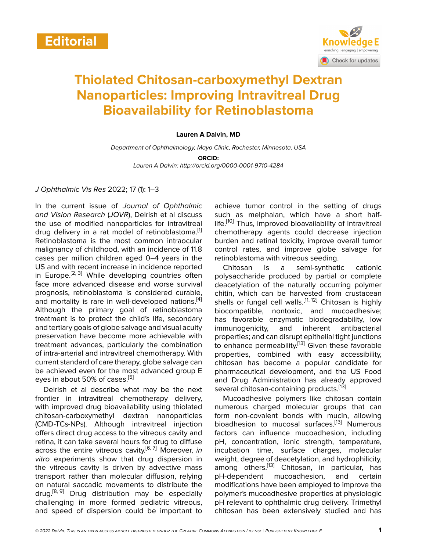

# **Thiolated Chitosan-carboxymethyl Dextran Nanoparticles: Improving Intravitreal Drug Bioavailability for Retinoblastoma**

#### **Lauren A Dalvin, MD**

*Department of Ophthalmology, Mayo Clinic, Rochester, Minnesota, USA*

**ORCID:**

*Lauren A Dalvin: http://orcid.org/0000-0001-9710-4284*

#### *J Ophthalmic Vis Res* 2022; 17 (1): 1–3

In the current issue of *Journal of Ophthalmic and Vision Research* (*JOVR*), Delrish et al discuss the use of modified nanoparticles for intravitreal drug delivery in a rat model of retinoblastoma. $[1]$  $[1]$  $[1]$ Retinoblastoma is the most common intraocular malignancy of childhood, with an incidence of 11.8 cases per million children aged 0–4 years in the US and with recent increase in incidence reported in Europe.<sup>[[2](#page-1-1), [3](#page-1-2)]</sup> While developing countries often face more advanced disease and worse survival prognosis, retinoblastoma is considered curable, and mortality is rare in well-developed nations.<sup>[\[4](#page-1-3)]</sup> Although the primary goal of retinoblastoma treatment is to protect the child's life, secondary and tertiary goals of globe salvage and visual acuity preservation have become more achievable with treatment advances, particularly the combination of intra-arterial and intravitreal chemotherapy. With current standard of care therapy, globe salvage can be achieved even for the most advanced group E eyes in about [5](#page-1-4)0% of cases.<sup>[5]</sup>

Delrish et al describe what may be the next frontier in intravitreal chemotherapy delivery, with improved drug bioavailability using thiolated chitosan-carboxymethyl dextran nanoparticles (CMD-TCs-NPs). Although intravitreal injection offers direct drug access to the vitreous cavity and retina, it can take several hours for drug to diffuse across the entire vitreous cavity.[\[6,](#page-2-0) [7](#page-2-1)] Moreover, *in vitro* experiments show that drug dispersion in the vitreous cavity is driven by advective mass transport rather than molecular diffusion, relying on natural saccadic movements to distribute the drug.<sup>[\[8,](#page-2-2) [9\]](#page-2-3)</sup> Drug distribution may be especially challenging in more formed pediatric vitreous, and speed of dispersion could be important to

achieve tumor control in the setting of drugs such as melphalan, which have a short half-life.<sup>[[10](#page-2-4)]</sup> Thus, improved bioavailability of intravitreal chemotherapy agents could decrease injection burden and retinal toxicity, improve overall tumor control rates, and improve globe salvage for retinoblastoma with vitreous seeding.

Chitosan is a semi-synthetic cationic polysaccharide produced by partial or complete deacetylation of the naturally occurring polymer chitin, which can be harvested from crustacean shells or fungal cell walls.<sup>[\[11](#page-2-5), [12](#page-2-6)]</sup> Chitosan is highly biocompatible, nontoxic, and mucoadhesive; has favorable enzymatic biodegradability, low immunogenicity, and inherent antibacterial properties; and can disrupt epithelial tight junctions to enhance permeability.[\[13](#page-2-7)] Given these favorable properties, combined with easy accessibility, chitosan has become a popular candidate for pharmaceutical development, and the US Food and Drug Administration has already approved several chitosan-containing products.<sup>[[13\]](#page-2-7)</sup>

Mucoadhesive polymers like chitosan contain numerous charged molecular groups that can form non-covalent bonds with mucin, allowing bioadhesion to mucosal surfaces.<sup>[[13\]](#page-2-7)</sup> Numerous factors can influence mucoadhesion, including pH, concentration, ionic strength, temperature, incubation time, surface charges, molecular weight, degree of deacetylation, and hydrophilicity, among others.<sup>[[13\]](#page-2-7)</sup> Chitosan, in particular, has pH-dependent mucoadhesion, and certain modifications have been employed to improve the polymer's mucoadhesive properties at physiologic pH relevant to ophthalmic drug delivery. Trimethyl chitosan has been extensively studied and has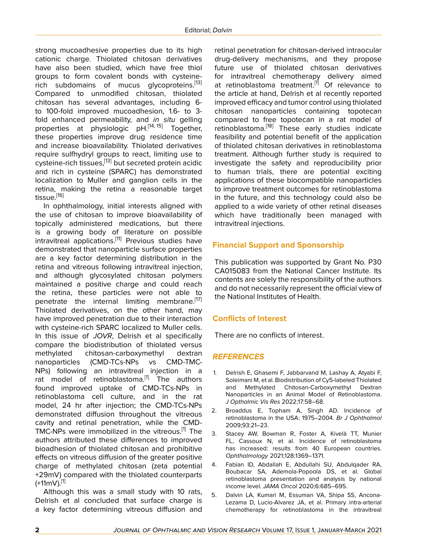strong mucoadhesive properties due to its high cationic charge. Thiolated chitosan derivatives have also been studied, which have free thiol groups to form covalent bonds with cysteine-rich subdomains of mucus glycoproteins.<sup>[\[13](#page-2-7)]</sup> Compared to unmodified chitosan, thiolated chitosan has several advantages, including 6 to 100-fold improved mucoadhesion, 1.6- to 3 fold enhanced permeability, and *in situ* gelling properties at physiologic pH.<sup>[\[14](#page-2-8), [15](#page-2-9)]</sup> Together, these properties improve drug residence time and increase bioavailability. Thiolated derivatives require sulfhydryl groups to react, limiting use to cysteine-rich tissues,[[13](#page-2-7)] but secreted protein acidic and rich in cysteine (SPARC) has demonstrated localization to Muller and ganglion cells in the retina, making the retina a reasonable target tissue.<sup>[[16\]](#page-2-10)</sup>

In ophthalmology, initial interests aligned with the use of chitosan to improve bioavailability of topically administered medications, but there is a growing body of literature on possible intravitreal applications.[[11\]](#page-2-5) Previous studies have demonstrated that nanoparticle surface properties are a key factor determining distribution in the retina and vitreous following intravitreal injection, and although glycosylated chitosan polymers maintained a positive charge and could reach the retina, these particles were not able to penetrate the internal limiting membrane.<sup>[[17](#page-2-11)]</sup> Thiolated derivatives, on the other hand, may have improved penetration due to their interaction with cysteine-rich SPARC localized to Muller cells. In this issue of *JOVR*, Delrish et al specifically compare the biodistribution of thiolated versus methylated chitosan-carboxymethyl dextran nanoparticles (CMD-TCs-NPs vs CMD-TMC-NPs) following an intravitreal injection in a rat model of retinoblastoma.<sup>[[1](#page-1-0)]</sup> The authors found improved uptake of CMD-TCs-NPs in retinoblastoma cell culture, and in the rat model, 24 hr after injection; the CMD-TCs-NPs demonstrated diffusion throughout the vitreous cavity and retinal penetration, while the CMD-TMC-NPs were immobilized in the vitreous.<sup>[[1\]](#page-1-0)</sup> The authors attributed these differences to improved bioadhesion of thiolated chitosan and prohibitive effects on vitreous diffusion of the greater positive charge of methylated chitosan (zeta potential +29mV) compared with the thiolated counterparts  $(+11mV).$  $(+11mV).$  $(+11mV).$ <sup>[1]</sup>

Although this was a small study with 10 rats, Delrish et al concluded that surface charge is a key factor determining vitreous diffusion and

retinal penetration for chitosan-derived intraocular drug-delivery mechanisms, and they propose future use of thiolated chitosan derivatives for intravitreal chemotherapy delivery aimed at retinoblastoma treatment.<sup>[\[1\]](#page-1-0)</sup> Of relevance to the article at hand, Delrish et al recently reported improved efficacy and tumor control using thiolated chitosan nanoparticles containing topotecan compared to free topotecan in a rat model of retinoblastoma.<sup>[\[18](#page-2-12)]</sup> These early studies indicate feasibility and potential benefit of the application of thiolated chitosan derivatives in retinoblastoma treatment. Although further study is required to investigate the safety and reproducibility prior to human trials, there are potential exciting applications of these biocompatible nanoparticles to improve treatment outcomes for retinoblastoma in the future, and this technology could also be applied to a wide variety of other retinal diseases which have traditionally been managed with intravitreal injections.

## **Financial Support and Sponsorship**

This publication was supported by Grant No. P30 CA015083 from the National Cancer Institute. Its contents are solely the responsibility of the authors and do not necessarily represent the official view of the National Institutes of Health.

## **Conflicts of Interest**

There are no conflicts of interest.

## *REFERENCES*

- <span id="page-1-0"></span>1. Delrish E, Ghasemi F, Jabbarvand M, Lashay A, Atyabi F, Soleimani M, et al. Biodistribution of Cy5-labeled Thiolated and Methylated Chitosan-Carboxymethyl Dextran Nanoparticles in an Animal Model of Retinoblastoma. *J Opthalmic Vis Res* 2022;17:58–68.
- <span id="page-1-1"></span>2. Broaddus E, Topham A, Singh AD. Incidence of retinoblastoma in the USA: 1975–2004. *Br J Ophthalmol* 2009;93:21–23.
- <span id="page-1-2"></span>3. Stacey AW, Bowman R, Foster A, Kivelä TT, Munier FL, Cassoux N, et al. Incidence of retinoblastoma has increased: results from 40 European countries. *Ophthalmology* 2021;128:1369–1371.
- <span id="page-1-3"></span>4. Fabian ID, Abdallah E, Abdullahi SU, Abdulqader RA, Boubacar SA, Ademola-Popoola DS, et al. Global retinoblastoma presentation and analysis by national income level. *JAMA Oncol* 2020;6:685–695.
- <span id="page-1-4"></span>5. Dalvin LA, Kumari M, Essuman VA, Shipa SS, Ancona-Lezama D, Lucio-Alvarez JA, et al. Primary intra-arterial chemotherapy for retinoblastoma in the intravitreal